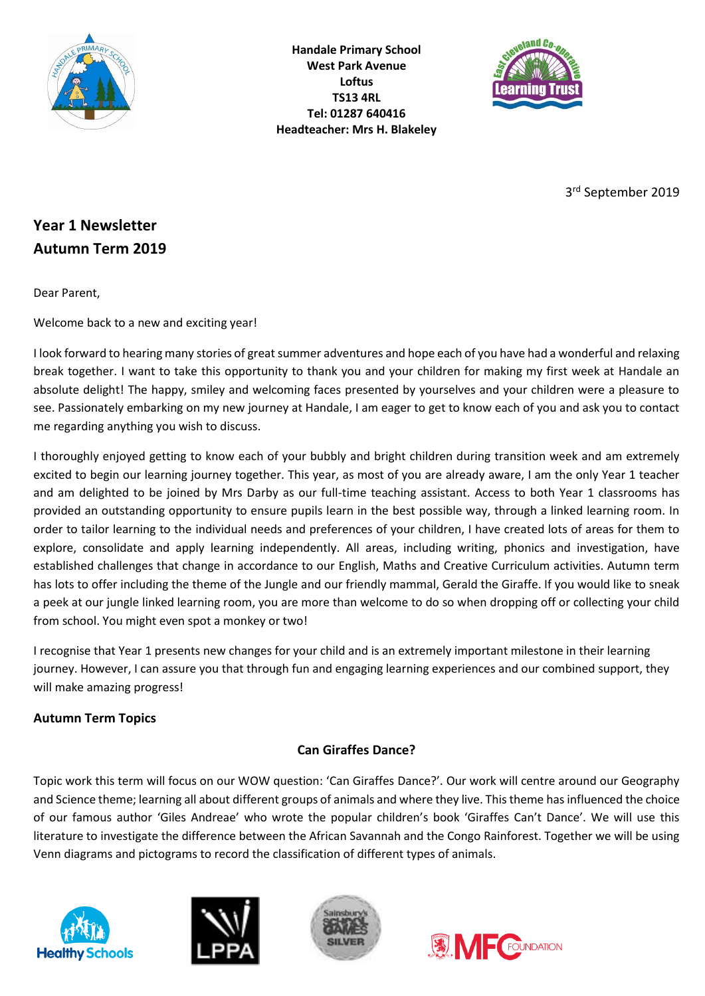

**Handale Primary School West Park Avenue Loftus TS13 4RL Tel: 01287 640416 Headteacher: Mrs H. Blakeley**



3 rd September 2019

# **Year 1 Newsletter Autumn Term 2019**

Dear Parent,

Welcome back to a new and exciting year!

I look forward to hearing many stories of great summer adventures and hope each of you have had a wonderful and relaxing break together. I want to take this opportunity to thank you and your children for making my first week at Handale an absolute delight! The happy, smiley and welcoming faces presented by yourselves and your children were a pleasure to see. Passionately embarking on my new journey at Handale, I am eager to get to know each of you and ask you to contact me regarding anything you wish to discuss.

I thoroughly enjoyed getting to know each of your bubbly and bright children during transition week and am extremely excited to begin our learning journey together. This year, as most of you are already aware, I am the only Year 1 teacher and am delighted to be joined by Mrs Darby as our full-time teaching assistant. Access to both Year 1 classrooms has provided an outstanding opportunity to ensure pupils learn in the best possible way, through a linked learning room. In order to tailor learning to the individual needs and preferences of your children, I have created lots of areas for them to explore, consolidate and apply learning independently. All areas, including writing, phonics and investigation, have established challenges that change in accordance to our English, Maths and Creative Curriculum activities. Autumn term has lots to offer including the theme of the Jungle and our friendly mammal, Gerald the Giraffe. If you would like to sneak a peek at our jungle linked learning room, you are more than welcome to do so when dropping off or collecting your child from school. You might even spot a monkey or two!

I recognise that Year 1 presents new changes for your child and is an extremely important milestone in their learning journey. However, I can assure you that through fun and engaging learning experiences and our combined support, they will make amazing progress!

## **Autumn Term Topics**

### **Can Giraffes Dance?**

Topic work this term will focus on our WOW question: 'Can Giraffes Dance?'. Our work will centre around our Geography and Science theme; learning all about different groups of animals and where they live. This theme has influenced the choice of our famous author 'Giles Andreae' who wrote the popular children's book 'Giraffes Can't Dance'. We will use this literature to investigate the difference between the African Savannah and the Congo Rainforest. Together we will be using Venn diagrams and pictograms to record the classification of different types of animals.